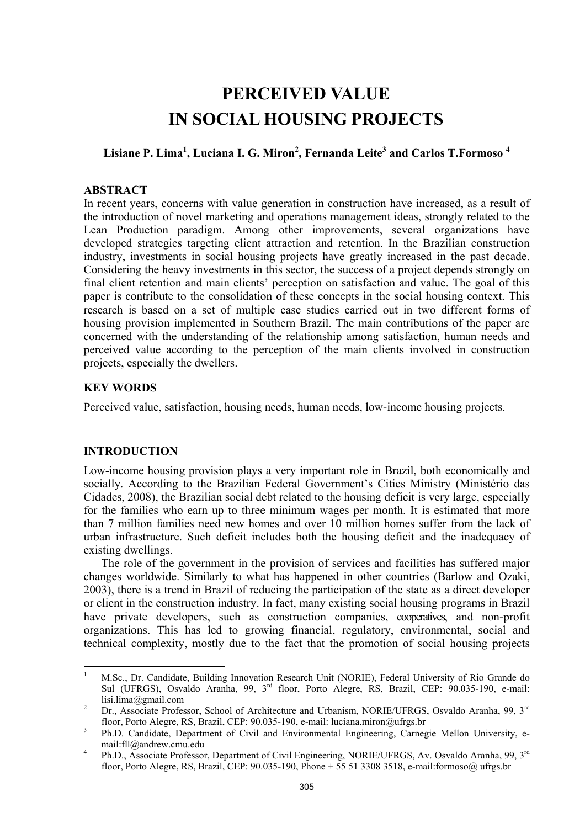# **PERCEIVED VALUE IN SOCIAL HOUSING PROJECTS**

## **Lisiane P. Lima1 , Luciana I. G. Miron<sup>2</sup> , Fernanda Leite<sup>3</sup> and Carlos T.Formoso <sup>4</sup>**

## **ABSTRACT**

In recent years, concerns with value generation in construction have increased, as a result of the introduction of novel marketing and operations management ideas, strongly related to the Lean Production paradigm. Among other improvements, several organizations have developed strategies targeting client attraction and retention. In the Brazilian construction industry, investments in social housing projects have greatly increased in the past decade. Considering the heavy investments in this sector, the success of a project depends strongly on final client retention and main clients' perception on satisfaction and value. The goal of this paper is contribute to the consolidation of these concepts in the social housing context. This research is based on a set of multiple case studies carried out in two different forms of housing provision implemented in Southern Brazil. The main contributions of the paper are concerned with the understanding of the relationship among satisfaction, human needs and perceived value according to the perception of the main clients involved in construction projects, especially the dwellers.

## **KEY WORDS**

Perceived value, satisfaction, housing needs, human needs, low-income housing projects.

## **INTRODUCTION**

Low-income housing provision plays a very important role in Brazil, both economically and socially. According to the Brazilian Federal Government's Cities Ministry (Ministério das Cidades, 2008), the Brazilian social debt related to the housing deficit is very large, especially for the families who earn up to three minimum wages per month. It is estimated that more than 7 million families need new homes and over 10 million homes suffer from the lack of urban infrastructure. Such deficit includes both the housing deficit and the inadequacy of existing dwellings.

The role of the government in the provision of services and facilities has suffered major changes worldwide. Similarly to what has happened in other countries (Barlow and Ozaki, 2003), there is a trend in Brazil of reducing the participation of the state as a direct developer or client in the construction industry. In fact, many existing social housing programs in Brazil have private developers, such as construction companies, cooperatives, and non-profit organizations. This has led to growing financial, regulatory, environmental, social and technical complexity, mostly due to the fact that the promotion of social housing projects

 $\frac{1}{1}$  M.Sc., Dr. Candidate, Building Innovation Research Unit (NORIE), Federal University of Rio Grande do Sul (UFRGS), Osvaldo Aranha, 99, 3<sup>rd</sup> floor, Porto Alegre, RS, Brazil, CEP: 90.035-190, e-mail: lisi.lima@gmail.com

Dr., Associate Professor, School of Architecture and Urbanism, NORIE/UFRGS, Osvaldo Aranha, 99, 3<sup>rd</sup> floor, Porto Alegre, RS, Brazil, CEP: 90.035-190, e-mail: luciana.miron@ufrgs.br 3

Ph.D. Candidate, Department of Civil and Environmental Engineering, Carnegie Mellon University, email:fll@andrew.cmu.edu

Ph.D., Associate Professor, Department of Civil Engineering, NORIE/UFRGS, Av. Osvaldo Aranha, 99, 3<sup>rd</sup> floor, Porto Alegre, RS, Brazil, CEP: 90.035-190, Phone + 55 51 3308 3518, e-mail:formoso@ ufrgs.br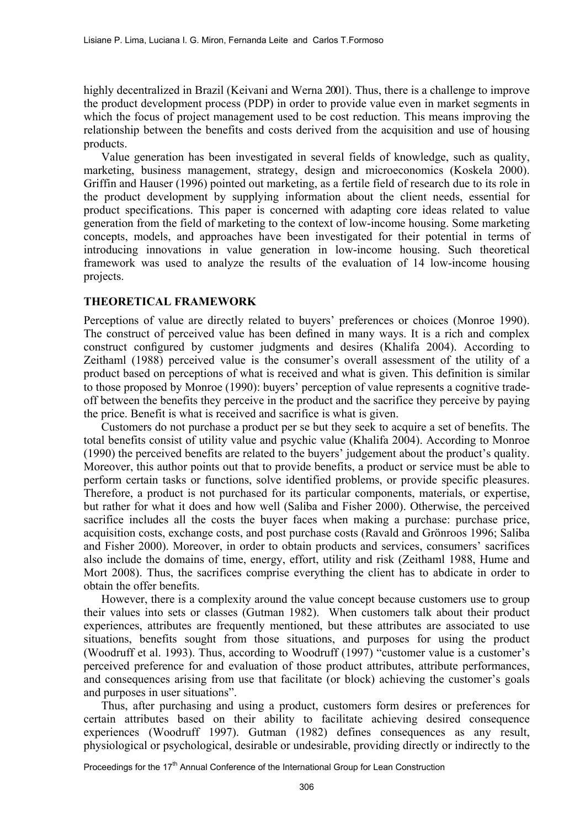highly decentralized in Brazil (Keivani and Werna 2001). Thus, there is a challenge to improve the product development process (PDP) in order to provide value even in market segments in which the focus of project management used to be cost reduction. This means improving the relationship between the benefits and costs derived from the acquisition and use of housing products.

Value generation has been investigated in several fields of knowledge, such as quality, marketing, business management, strategy, design and microeconomics (Koskela 2000). Griffin and Hauser (1996) pointed out marketing, as a fertile field of research due to its role in the product development by supplying information about the client needs, essential for product specifications. This paper is concerned with adapting core ideas related to value generation from the field of marketing to the context of low-income housing. Some marketing concepts, models, and approaches have been investigated for their potential in terms of introducing innovations in value generation in low-income housing. Such theoretical framework was used to analyze the results of the evaluation of 14 low-income housing projects.

#### **THEORETICAL FRAMEWORK**

Perceptions of value are directly related to buyers' preferences or choices (Monroe 1990). The construct of perceived value has been defined in many ways. It is a rich and complex construct configured by customer judgments and desires (Khalifa 2004). According to Zeithaml (1988) perceived value is the consumer's overall assessment of the utility of a product based on perceptions of what is received and what is given. This definition is similar to those proposed by Monroe (1990): buyers' perception of value represents a cognitive tradeoff between the benefits they perceive in the product and the sacrifice they perceive by paying the price. Benefit is what is received and sacrifice is what is given.

Customers do not purchase a product per se but they seek to acquire a set of benefits. The total benefits consist of utility value and psychic value (Khalifa 2004). According to Monroe (1990) the perceived benefits are related to the buyers' judgement about the product's quality. Moreover, this author points out that to provide benefits, a product or service must be able to perform certain tasks or functions, solve identified problems, or provide specific pleasures. Therefore, a product is not purchased for its particular components, materials, or expertise, but rather for what it does and how well (Saliba and Fisher 2000). Otherwise, the perceived sacrifice includes all the costs the buyer faces when making a purchase: purchase price, acquisition costs, exchange costs, and post purchase costs (Ravald and Grönroos 1996; Saliba and Fisher 2000). Moreover, in order to obtain products and services, consumers' sacrifices also include the domains of time, energy, effort, utility and risk (Zeithaml 1988, Hume and Mort 2008). Thus, the sacrifices comprise everything the client has to abdicate in order to obtain the offer benefits.

However, there is a complexity around the value concept because customers use to group their values into sets or classes (Gutman 1982). When customers talk about their product experiences, attributes are frequently mentioned, but these attributes are associated to use situations, benefits sought from those situations, and purposes for using the product (Woodruff et al. 1993). Thus, according to Woodruff (1997) "customer value is a customer's perceived preference for and evaluation of those product attributes, attribute performances, and consequences arising from use that facilitate (or block) achieving the customer's goals and purposes in user situations".

Thus, after purchasing and using a product, customers form desires or preferences for certain attributes based on their ability to facilitate achieving desired consequence experiences (Woodruff 1997). Gutman (1982) defines consequences as any result, physiological or psychological, desirable or undesirable, providing directly or indirectly to the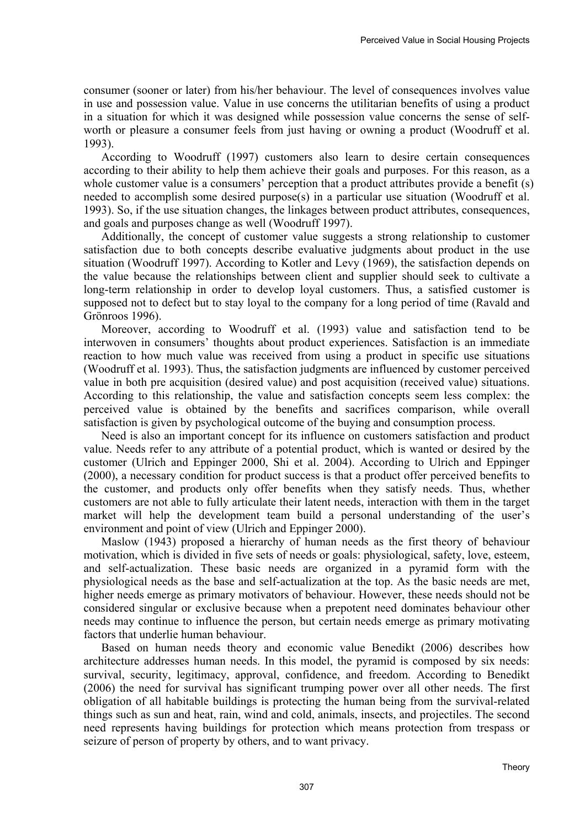consumer (sooner or later) from his/her behaviour. The level of consequences involves value in use and possession value. Value in use concerns the utilitarian benefits of using a product in a situation for which it was designed while possession value concerns the sense of selfworth or pleasure a consumer feels from just having or owning a product (Woodruff et al. 1993).

According to Woodruff (1997) customers also learn to desire certain consequences according to their ability to help them achieve their goals and purposes. For this reason, as a whole customer value is a consumers' perception that a product attributes provide a benefit (s) needed to accomplish some desired purpose(s) in a particular use situation (Woodruff et al. 1993). So, if the use situation changes, the linkages between product attributes, consequences, and goals and purposes change as well (Woodruff 1997).

Additionally, the concept of customer value suggests a strong relationship to customer satisfaction due to both concepts describe evaluative judgments about product in the use situation (Woodruff 1997). According to Kotler and Levy (1969), the satisfaction depends on the value because the relationships between client and supplier should seek to cultivate a long-term relationship in order to develop loyal customers. Thus, a satisfied customer is supposed not to defect but to stay loyal to the company for a long period of time (Ravald and Grönroos 1996).

Moreover, according to Woodruff et al. (1993) value and satisfaction tend to be interwoven in consumers' thoughts about product experiences. Satisfaction is an immediate reaction to how much value was received from using a product in specific use situations (Woodruff et al. 1993). Thus, the satisfaction judgments are influenced by customer perceived value in both pre acquisition (desired value) and post acquisition (received value) situations. According to this relationship, the value and satisfaction concepts seem less complex: the perceived value is obtained by the benefits and sacrifices comparison, while overall satisfaction is given by psychological outcome of the buying and consumption process.

Need is also an important concept for its influence on customers satisfaction and product value. Needs refer to any attribute of a potential product, which is wanted or desired by the customer (Ulrich and Eppinger 2000, Shi et al. 2004). According to Ulrich and Eppinger (2000), a necessary condition for product success is that a product offer perceived benefits to the customer, and products only offer benefits when they satisfy needs. Thus, whether customers are not able to fully articulate their latent needs, interaction with them in the target market will help the development team build a personal understanding of the user's environment and point of view (Ulrich and Eppinger 2000).

Maslow (1943) proposed a hierarchy of human needs as the first theory of behaviour motivation, which is divided in five sets of needs or goals: physiological, safety, love, esteem, and self-actualization. These basic needs are organized in a pyramid form with the physiological needs as the base and self-actualization at the top. As the basic needs are met, higher needs emerge as primary motivators of behaviour. However, these needs should not be considered singular or exclusive because when a prepotent need dominates behaviour other needs may continue to influence the person, but certain needs emerge as primary motivating factors that underlie human behaviour.

Based on human needs theory and economic value Benedikt (2006) describes how architecture addresses human needs. In this model, the pyramid is composed by six needs: survival, security, legitimacy, approval, confidence, and freedom. According to Benedikt (2006) the need for survival has significant trumping power over all other needs. The first obligation of all habitable buildings is protecting the human being from the survival-related things such as sun and heat, rain, wind and cold, animals, insects, and projectiles. The second need represents having buildings for protection which means protection from trespass or seizure of person of property by others, and to want privacy.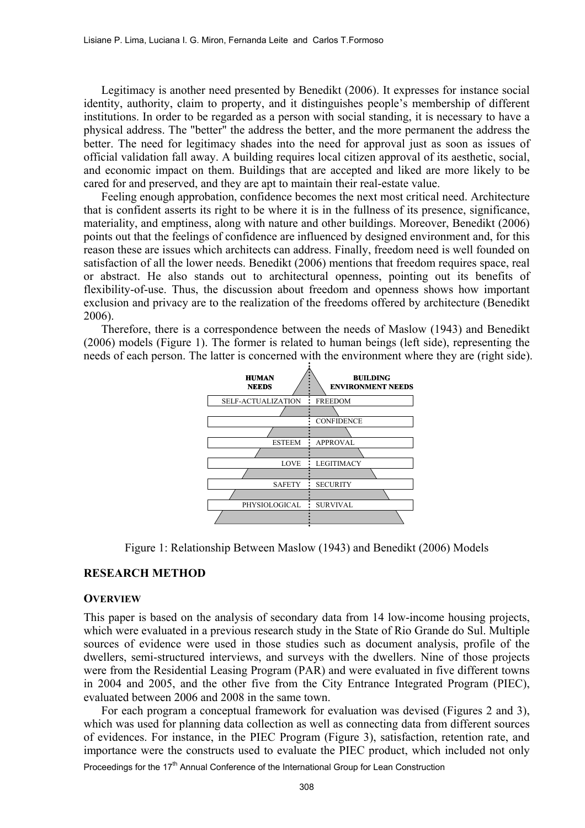Legitimacy is another need presented by Benedikt (2006). It expresses for instance social identity, authority, claim to property, and it distinguishes people's membership of different institutions. In order to be regarded as a person with social standing, it is necessary to have a physical address. The "better" the address the better, and the more permanent the address the better. The need for legitimacy shades into the need for approval just as soon as issues of official validation fall away. A building requires local citizen approval of its aesthetic, social, and economic impact on them. Buildings that are accepted and liked are more likely to be cared for and preserved, and they are apt to maintain their real-estate value.

Feeling enough approbation, confidence becomes the next most critical need. Architecture that is confident asserts its right to be where it is in the fullness of its presence, significance, materiality, and emptiness, along with nature and other buildings. Moreover, Benedikt (2006) points out that the feelings of confidence are influenced by designed environment and, for this reason these are issues which architects can address. Finally, freedom need is well founded on satisfaction of all the lower needs. Benedikt (2006) mentions that freedom requires space, real or abstract. He also stands out to architectural openness, pointing out its benefits of flexibility-of-use. Thus, the discussion about freedom and openness shows how important exclusion and privacy are to the realization of the freedoms offered by architecture (Benedikt 2006).

Therefore, there is a correspondence between the needs of Maslow (1943) and Benedikt (2006) models (Figure 1). The former is related to human beings (left side), representing the needs of each person. The latter is concerned with the environment where they are (right side).



Figure 1: Relationship Between Maslow (1943) and Benedikt (2006) Models

#### **RESEARCH METHOD**

#### **OVERVIEW**

This paper is based on the analysis of secondary data from 14 low-income housing projects, which were evaluated in a previous research study in the State of Rio Grande do Sul. Multiple sources of evidence were used in those studies such as document analysis, profile of the dwellers, semi-structured interviews, and surveys with the dwellers. Nine of those projects were from the Residential Leasing Program (PAR) and were evaluated in five different towns in 2004 and 2005, and the other five from the City Entrance Integrated Program (PIEC), evaluated between 2006 and 2008 in the same town.

For each program a conceptual framework for evaluation was devised (Figures 2 and 3), which was used for planning data collection as well as connecting data from different sources of evidences. For instance, in the PIEC Program (Figure 3), satisfaction, retention rate, and importance were the constructs used to evaluate the PIEC product, which included not only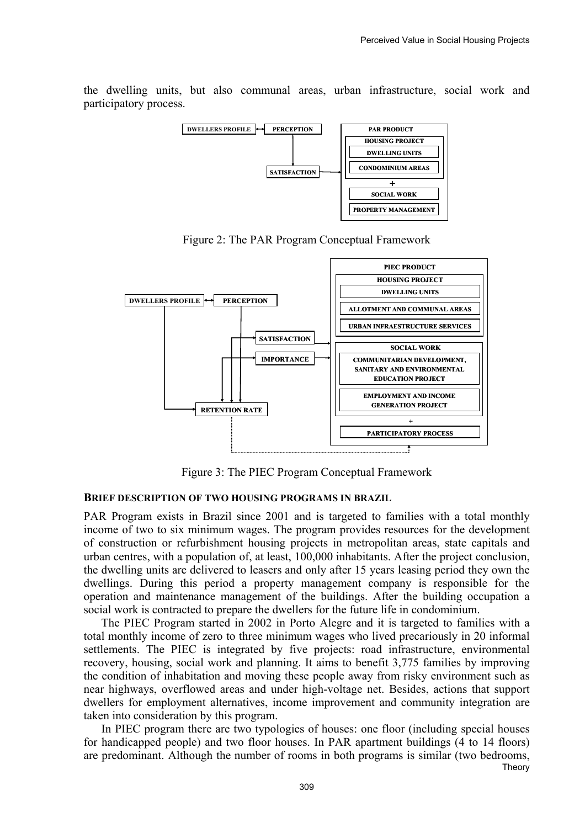the dwelling units, but also communal areas, urban infrastructure, social work and participatory process.



Figure 2: The PAR Program Conceptual Framework



Figure 3: The PIEC Program Conceptual Framework

#### **BRIEF DESCRIPTION OF TWO HOUSING PROGRAMS IN BRAZIL**

PAR Program exists in Brazil since 2001 and is targeted to families with a total monthly income of two to six minimum wages. The program provides resources for the development of construction or refurbishment housing projects in metropolitan areas, state capitals and urban centres, with a population of, at least, 100,000 inhabitants. After the project conclusion, the dwelling units are delivered to leasers and only after 15 years leasing period they own the dwellings. During this period a property management company is responsible for the operation and maintenance management of the buildings. After the building occupation a social work is contracted to prepare the dwellers for the future life in condominium.

The PIEC Program started in 2002 in Porto Alegre and it is targeted to families with a total monthly income of zero to three minimum wages who lived precariously in 20 informal settlements. The PIEC is integrated by five projects: road infrastructure, environmental recovery, housing, social work and planning. It aims to benefit 3,775 families by improving the condition of inhabitation and moving these people away from risky environment such as near highways, overflowed areas and under high-voltage net. Besides, actions that support dwellers for employment alternatives, income improvement and community integration are taken into consideration by this program.

Theory In PIEC program there are two typologies of houses: one floor (including special houses for handicapped people) and two floor houses. In PAR apartment buildings (4 to 14 floors) are predominant. Although the number of rooms in both programs is similar (two bedrooms,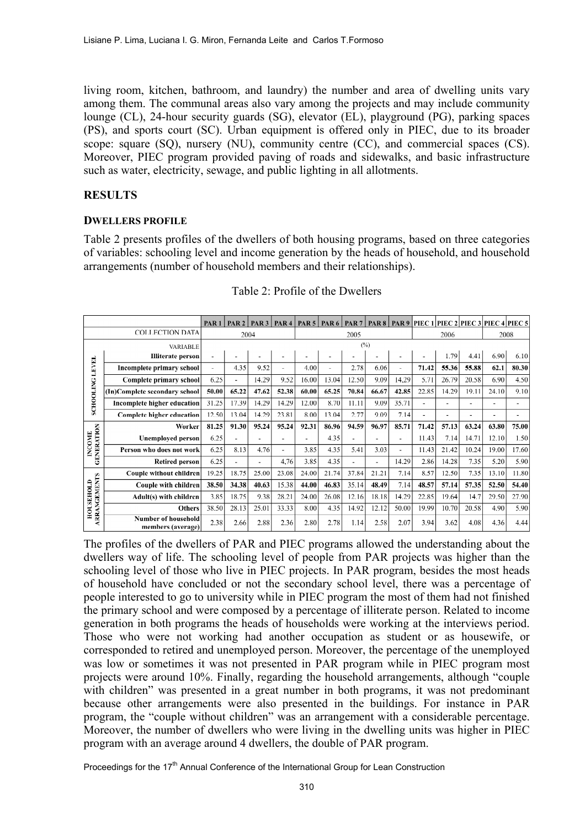living room, kitchen, bathroom, and laundry) the number and area of dwelling units vary among them. The communal areas also vary among the projects and may include community lounge (CL), 24-hour security guards (SG), elevator (EL), playground (PG), parking spaces (PS), and sports court (SC). Urban equipment is offered only in PIEC, due to its broader scope: square (SQ), nursery (NU), community centre (CC), and commercial spaces (CS). Moreover, PIEC program provided paving of roads and sidewalks, and basic infrastructure such as water, electricity, sewage, and public lighting in all allotments.

## **RESULTS**

### **DWELLERS PROFILE**

Table 2 presents profiles of the dwellers of both housing programs, based on three categories of variables: schooling level and income generation by the heads of household, and household arrangements (number of household members and their relationships).

|                                  |                                                 | PAR <sub>1</sub> | PAR <sub>2</sub>         | PAR <sub>3</sub>         | PAR <sub>4</sub>         | PAR $5$ | PAR <sub>6</sub> | PAR <sub>7</sub> | <b>PAR8</b> |       |       |       |       | PAR 9 PIEC 1 PIEC 2 PIEC 3 PIEC 4 PIEC 5 |       |
|----------------------------------|-------------------------------------------------|------------------|--------------------------|--------------------------|--------------------------|---------|------------------|------------------|-------------|-------|-------|-------|-------|------------------------------------------|-------|
|                                  | <b>COLLECTION DATA</b>                          | 2004             |                          |                          |                          | 2005    |                  |                  |             | 2006  |       | 2008  |       |                                          |       |
|                                  | VARIABLE                                        | (%)              |                          |                          |                          |         |                  |                  |             |       |       |       |       |                                          |       |
|                                  | <b>Illiterate</b> person                        |                  |                          | $\overline{\phantom{a}}$ | ٠                        |         |                  |                  |             |       |       | 1.79  | 4.41  | 6.90                                     | 6.10  |
| <b>LEVEL</b>                     | Incomplete primary school                       |                  | 4.35                     | 9.52                     | $\overline{\phantom{a}}$ | 4.00    | ٠                | 2.78             | 6.06        | ٠     | 71.42 | 55.36 | 55.88 | 62.1                                     | 80.30 |
|                                  | Complete primary school                         | 6.25             | $\overline{\phantom{a}}$ | 14.29                    | 9.52                     | 16.00   | 13.04            | 12.50            | 9.09        | 14,29 | 5.71  | 26.79 | 20.58 | 6.90                                     | 4.50  |
|                                  | (In)Complete secondary school                   | 50.00            | 65.22                    | 47.62                    | 52.38                    | 60.00   | 65.25            | 70.84            | 66.67       | 42.85 | 22.85 | 14.29 | 19.11 | 24.10                                    | 9.10  |
| <b>SCHOOLING</b>                 | Incomplete higher education                     | 31.25            | 17.39                    | 14.29                    | 14.29                    | 12.00   | 8.70             | 11.11            | 9.09        | 35.71 |       |       |       |                                          | ٠     |
|                                  | Complete higher education                       | 12.50            | 13.04                    | 14.29                    | 23.81                    | 8.00    | 13.04            | 2.77             | 9.09        | 7.14  |       |       |       | $\overline{\phantom{a}}$                 | ٠     |
|                                  | Worker                                          | 81.25            | 91.30                    | 95.24                    | 95.24                    | 92.31   | 86.96            | 94.59            | 96.97       | 85.71 | 71.42 | 57.13 | 63.24 | 63.80                                    | 75.00 |
|                                  | <b>Unemployed person</b>                        | 6.25             |                          |                          | ٠                        | ٠       | 4.35             | ٠                | -           | ۰     | 11.43 | 7.14  | 14.71 | 12.10                                    | 1.50  |
| GENERATION<br><b>INCOME</b>      | Person who does not work                        | 6.25             | 8.13                     | 4.76                     | ۰                        | 3.85    | 4.35             | 5.41             | 3.03        | ۰     | 11.43 | 21.42 | 10.24 | 19.00                                    | 17.60 |
|                                  | <b>Retired person</b>                           | 6.25             |                          |                          | 4,76                     | 3.85    | 4.35             | ä,               |             | 14.29 | 2.86  | 14.28 | 7.35  | 5.20                                     | 5.90  |
|                                  | Couple without children                         | 19.25            | 18.75                    | 25.00                    | 23.08                    | 24.00   | 21.74            | 37.84            | 21.21       | 7.14  | 8.57  | 12.50 | 7.35  | 13.10                                    | 11.80 |
|                                  | Couple with children                            | 38.50            | 34.38                    | 40.63                    | 15.38                    | 44.00   | 46.83            | 35.14            | 48.49       | 7.14  | 48.57 | 57.14 | 57.35 | 52.50                                    | 54.40 |
|                                  | Adult(s) with children                          | 3.85             | 18.75                    | 9.38                     | 28.21                    | 24.00   | 26.08            | 12.16            | 18.18       | 14.29 | 22.85 | 19.64 | 14.7  | 29.50                                    | 27.90 |
| <b>ARRANGEMENTS</b><br>HOUSEHOLD | <b>Others</b>                                   | 38.50            | 28.13                    | 25.01                    | 33.33                    | 8.00    | 4.35             | 14.92            | 12.12       | 50.00 | 19.99 | 10.70 | 20.58 | 4.90                                     | 5.90  |
|                                  | <b>Number of household</b><br>members (average) | 2.38             | 2.66                     | 2.88                     | 2.36                     | 2.80    | 2.78             | 1.14             | 2.58        | 2.07  | 3.94  | 3.62  | 4.08  | 4.36                                     | 4.44  |

## Table 2: Profile of the Dwellers

The profiles of the dwellers of PAR and PIEC programs allowed the understanding about the dwellers way of life. The schooling level of people from PAR projects was higher than the schooling level of those who live in PIEC projects. In PAR program, besides the most heads of household have concluded or not the secondary school level, there was a percentage of people interested to go to university while in PIEC program the most of them had not finished the primary school and were composed by a percentage of illiterate person. Related to income generation in both programs the heads of households were working at the interviews period. Those who were not working had another occupation as student or as housewife, or corresponded to retired and unemployed person. Moreover, the percentage of the unemployed was low or sometimes it was not presented in PAR program while in PIEC program most projects were around 10%. Finally, regarding the household arrangements, although "couple with children" was presented in a great number in both programs, it was not predominant because other arrangements were also presented in the buildings. For instance in PAR program, the "couple without children" was an arrangement with a considerable percentage. Moreover, the number of dwellers who were living in the dwelling units was higher in PIEC program with an average around 4 dwellers, the double of PAR program.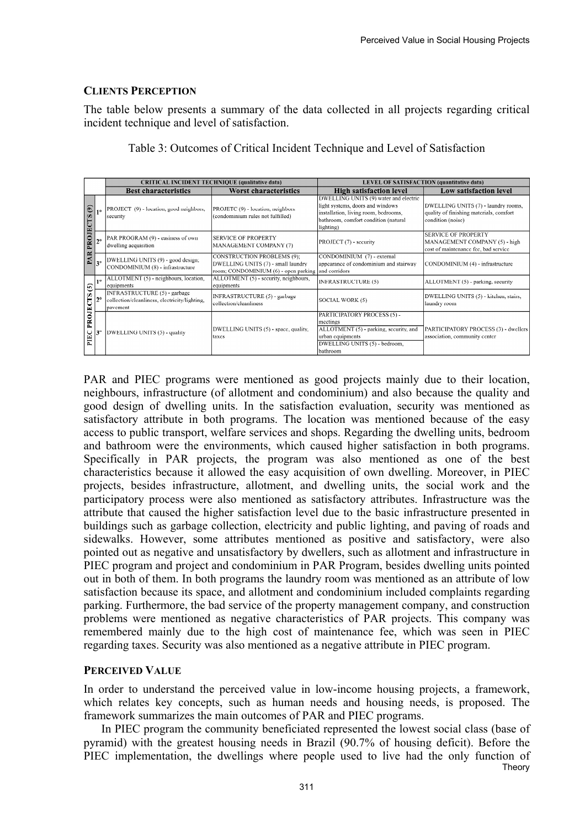### **CLIENTS PERCEPTION**

The table below presents a summary of the data collected in all projects regarding critical incident technique and level of satisfaction.

|                                   |              |                                                                                           | <b>CRITICAL INCIDENT TECHNIQUE (qualitative data)</b>                                                                         | <b>LEVEL OF SATISFACTION (quantitative data)</b>                                                                                                                       |                                                                                                     |  |  |  |
|-----------------------------------|--------------|-------------------------------------------------------------------------------------------|-------------------------------------------------------------------------------------------------------------------------------|------------------------------------------------------------------------------------------------------------------------------------------------------------------------|-----------------------------------------------------------------------------------------------------|--|--|--|
|                                   |              | <b>Best characteristics</b>                                                               | Worst characteristics                                                                                                         | <b>High satisfaction level</b>                                                                                                                                         | Low satisfaction level                                                                              |  |  |  |
| ම<br>FS<br>PROJEC<br>PAR          | 10           | PROJECT (9) - location, good neighbors,<br>security                                       | PROJETC (9) - location, neighbors<br>(condominium rules not fulfilled)                                                        | DWELLING UNITS (9) water and electric<br>light systems, doors and windows<br>installation, living room, bedrooms,<br>bathroom, comfort condition (natural<br>lighting) | DWELLING UNITS (7) - laundry rooms,<br>quality of finishing materials, comfort<br>condition (noise) |  |  |  |
|                                   | $2^{\circ}$  | PAR PROGRAM (9) - easiness of own<br>dwelling acquisition                                 | <b>SERVICE OF PROPERTY</b><br><b>MANAGEMENT COMPANY (7)</b>                                                                   | PROJECT (7) - security                                                                                                                                                 | <b>SERVICE OF PROPERTY</b><br>MANAGEMENT COMPANY (5) - high<br>cost of maintenance fee, bad service |  |  |  |
|                                   | $3^{\circ}$  | DWELLING UNITS (9) - good design;<br>CONDOMINIUM (8) - infrastructure                     | <b>CONSTRUCTION PROBLEMS (9):</b><br>DWELLING UNITS (7) - small laundry<br>room; CONDOMINIUM (6) - open parking and corridors | CONDOMINIUM (7) - external<br>appearance of condominium and stairway                                                                                                   | CONDOMINIUM (4) - infrastructure                                                                    |  |  |  |
| S(5)<br>5<br><b>PROJE</b><br>PIEC | 10           | ALLOTMENT (5) - neighbours, location,<br>lequipments                                      | ALLOTMENT (5) - security, neighbours,<br>equipments                                                                           | <b>INFRASTRUCTURE (5)</b>                                                                                                                                              | ALLOTMENT (5) - parking, security                                                                   |  |  |  |
|                                   | $12^{\circ}$ | INFRASTRUCTURE (5) - garbage<br>collection/cleanliness, electricity/lighting,<br>pavement | INFRASTRUCTURE (5) - garbage<br>collection/cleanliness                                                                        | SOCIAL WORK (5)                                                                                                                                                        | DWELLING UNITS (5) - kitchen, stairs,<br>laundry room                                               |  |  |  |
|                                   |              | DWELLING UNITS (5) - quality                                                              | DWELLING UNITS (5) - space, quality,<br>taxes                                                                                 | PARTICIPATORY PROCESS (5) -<br>meetings<br>ALLOTMENT (5) - parking, security, and<br>urban equipments<br>DWELLING UNITS (5) - bedroom,<br>bathroom                     | PARTICIPATORY PROCESS (3) - dwellers<br>association, community center                               |  |  |  |

Table 3: Outcomes of Critical Incident Technique and Level of Satisfaction

PAR and PIEC programs were mentioned as good projects mainly due to their location, neighbours, infrastructure (of allotment and condominium) and also because the quality and good design of dwelling units. In the satisfaction evaluation, security was mentioned as satisfactory attribute in both programs. The location was mentioned because of the easy access to public transport, welfare services and shops. Regarding the dwelling units, bedroom and bathroom were the environments, which caused higher satisfaction in both programs. Specifically in PAR projects, the program was also mentioned as one of the best characteristics because it allowed the easy acquisition of own dwelling. Moreover, in PIEC projects, besides infrastructure, allotment, and dwelling units, the social work and the participatory process were also mentioned as satisfactory attributes. Infrastructure was the attribute that caused the higher satisfaction level due to the basic infrastructure presented in buildings such as garbage collection, electricity and public lighting, and paving of roads and sidewalks. However, some attributes mentioned as positive and satisfactory, were also pointed out as negative and unsatisfactory by dwellers, such as allotment and infrastructure in PIEC program and project and condominium in PAR Program, besides dwelling units pointed out in both of them. In both programs the laundry room was mentioned as an attribute of low satisfaction because its space, and allotment and condominium included complaints regarding parking. Furthermore, the bad service of the property management company, and construction problems were mentioned as negative characteristics of PAR projects. This company was remembered mainly due to the high cost of maintenance fee, which was seen in PIEC regarding taxes. Security was also mentioned as a negative attribute in PIEC program.

#### **PERCEIVED VALUE**

In order to understand the perceived value in low-income housing projects, a framework, which relates key concepts, such as human needs and housing needs, is proposed. The framework summarizes the main outcomes of PAR and PIEC programs.

Theory In PIEC program the community beneficiated represented the lowest social class (base of pyramid) with the greatest housing needs in Brazil (90.7% of housing deficit). Before the PIEC implementation, the dwellings where people used to live had the only function of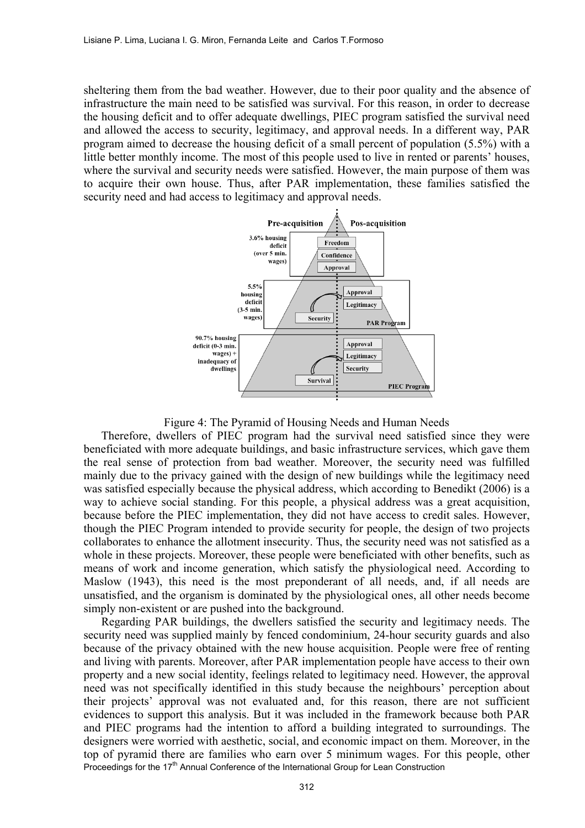sheltering them from the bad weather. However, due to their poor quality and the absence of infrastructure the main need to be satisfied was survival. For this reason, in order to decrease the housing deficit and to offer adequate dwellings, PIEC program satisfied the survival need and allowed the access to security, legitimacy, and approval needs. In a different way, PAR program aimed to decrease the housing deficit of a small percent of population (5.5%) with a little better monthly income. The most of this people used to live in rented or parents' houses, where the survival and security needs were satisfied. However, the main purpose of them was to acquire their own house. Thus, after PAR implementation, these families satisfied the security need and had access to legitimacy and approval needs.



Figure 4: The Pyramid of Housing Needs and Human Needs

Therefore, dwellers of PIEC program had the survival need satisfied since they were beneficiated with more adequate buildings, and basic infrastructure services, which gave them the real sense of protection from bad weather. Moreover, the security need was fulfilled mainly due to the privacy gained with the design of new buildings while the legitimacy need was satisfied especially because the physical address, which according to Benedikt (2006) is a way to achieve social standing. For this people, a physical address was a great acquisition, because before the PIEC implementation, they did not have access to credit sales. However, though the PIEC Program intended to provide security for people, the design of two projects collaborates to enhance the allotment insecurity. Thus, the security need was not satisfied as a whole in these projects. Moreover, these people were beneficiated with other benefits, such as means of work and income generation, which satisfy the physiological need. According to Maslow (1943), this need is the most preponderant of all needs, and, if all needs are unsatisfied, and the organism is dominated by the physiological ones, all other needs become simply non-existent or are pushed into the background.

Proceedings for the 17<sup>th</sup> Annual Conference of the International Group for Lean Construction Regarding PAR buildings, the dwellers satisfied the security and legitimacy needs. The security need was supplied mainly by fenced condominium, 24-hour security guards and also because of the privacy obtained with the new house acquisition. People were free of renting and living with parents. Moreover, after PAR implementation people have access to their own property and a new social identity, feelings related to legitimacy need. However, the approval need was not specifically identified in this study because the neighbours' perception about their projects' approval was not evaluated and, for this reason, there are not sufficient evidences to support this analysis. But it was included in the framework because both PAR and PIEC programs had the intention to afford a building integrated to surroundings. The designers were worried with aesthetic, social, and economic impact on them. Moreover, in the top of pyramid there are families who earn over 5 minimum wages. For this people, other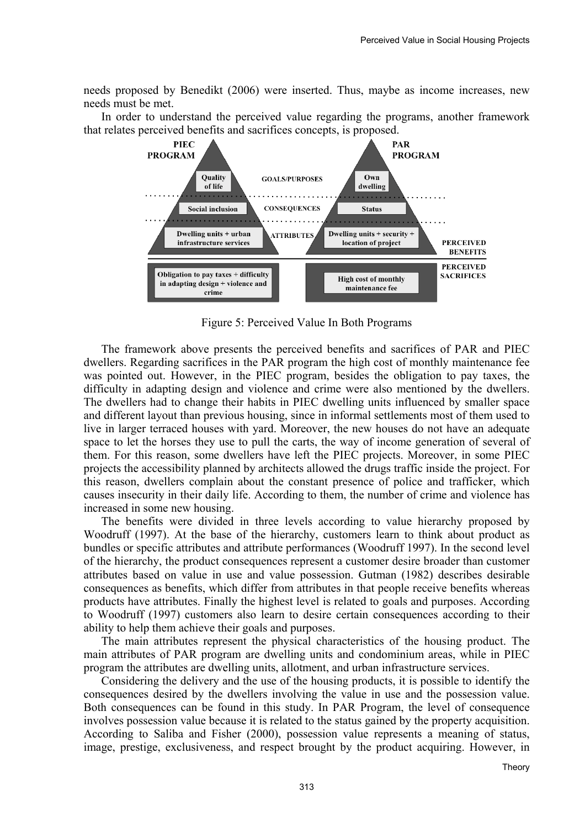needs proposed by Benedikt (2006) were inserted. Thus, maybe as income increases, new needs must be met.

In order to understand the perceived value regarding the programs, another framework that relates perceived benefits and sacrifices concepts, is proposed.



Figure 5: Perceived Value In Both Programs

The framework above presents the perceived benefits and sacrifices of PAR and PIEC dwellers. Regarding sacrifices in the PAR program the high cost of monthly maintenance fee was pointed out. However, in the PIEC program, besides the obligation to pay taxes, the difficulty in adapting design and violence and crime were also mentioned by the dwellers. The dwellers had to change their habits in PIEC dwelling units influenced by smaller space and different layout than previous housing, since in informal settlements most of them used to live in larger terraced houses with yard. Moreover, the new houses do not have an adequate space to let the horses they use to pull the carts, the way of income generation of several of them. For this reason, some dwellers have left the PIEC projects. Moreover, in some PIEC projects the accessibility planned by architects allowed the drugs traffic inside the project. For this reason, dwellers complain about the constant presence of police and trafficker, which causes insecurity in their daily life. According to them, the number of crime and violence has increased in some new housing.

The benefits were divided in three levels according to value hierarchy proposed by Woodruff (1997). At the base of the hierarchy, customers learn to think about product as bundles or specific attributes and attribute performances (Woodruff 1997). In the second level of the hierarchy, the product consequences represent a customer desire broader than customer attributes based on value in use and value possession. Gutman (1982) describes desirable consequences as benefits, which differ from attributes in that people receive benefits whereas products have attributes. Finally the highest level is related to goals and purposes. According to Woodruff (1997) customers also learn to desire certain consequences according to their ability to help them achieve their goals and purposes.

The main attributes represent the physical characteristics of the housing product. The main attributes of PAR program are dwelling units and condominium areas, while in PIEC program the attributes are dwelling units, allotment, and urban infrastructure services.

Considering the delivery and the use of the housing products, it is possible to identify the consequences desired by the dwellers involving the value in use and the possession value. Both consequences can be found in this study. In PAR Program, the level of consequence involves possession value because it is related to the status gained by the property acquisition. According to Saliba and Fisher (2000), possession value represents a meaning of status, image, prestige, exclusiveness, and respect brought by the product acquiring. However, in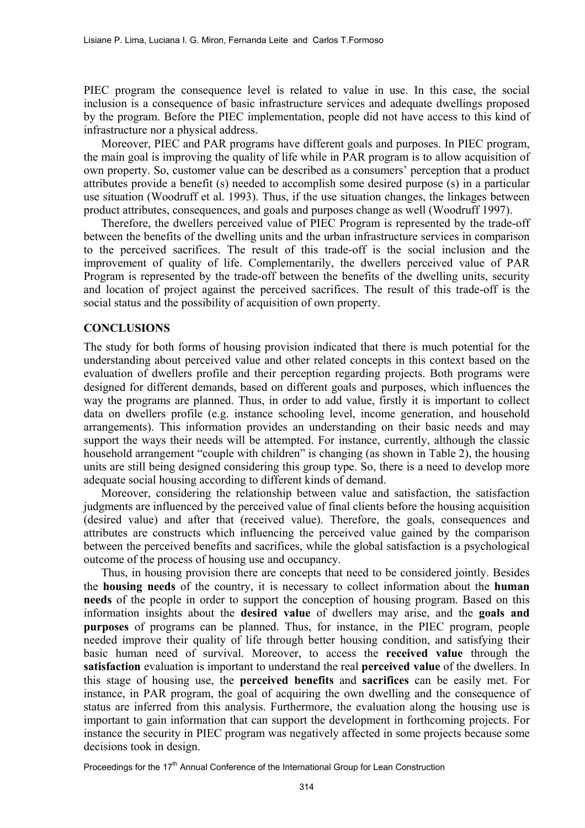PIEC program the consequence level is related to value in use. In this case, the social inclusion is a consequence of basic infrastructure services and adequate dwellings proposed by the program. Before the PIEC implementation, people did not have access to this kind of infrastructure nor a physical address.

Moreover, PIEC and PAR programs have different goals and purposes. In PIEC program, the main goal is improving the quality of life while in PAR program is to allow acquisition of own property. So, customer value can be described as a consumers' perception that a product attributes provide a benefit (s) needed to accomplish some desired purpose (s) in a particular use situation (Woodruff et al. 1993). Thus, if the use situation changes, the linkages between product attributes, consequences, and goals and purposes change as well (Woodruff 1997).

Therefore, the dwellers perceived value of PIEC Program is represented by the trade-off between the benefits of the dwelling units and the urban infrastructure services in comparison to the perceived sacrifices. The result of this trade-off is the social inclusion and the improvement of quality of life. Complementarily, the dwellers perceived value of PAR Program is represented by the trade-off between the benefits of the dwelling units, security and location of project against the perceived sacrifices. The result of this trade-off is the social status and the possibility of acquisition of own property.

### **CONCLUSIONS**

The study for both forms of housing provision indicated that there is much potential for the understanding about perceived value and other related concepts in this context based on the evaluation of dwellers profile and their perception regarding projects. Both programs were designed for different demands, based on different goals and purposes, which influences the way the programs are planned. Thus, in order to add value, firstly it is important to collect data on dwellers profile (e.g. instance schooling level, income generation, and household arrangements). This information provides an understanding on their basic needs and may support the ways their needs will be attempted. For instance, currently, although the classic household arrangement "couple with children" is changing (as shown in Table 2), the housing units are still being designed considering this group type. So, there is a need to develop more adequate social housing according to different kinds of demand.

Moreover, considering the relationship between value and satisfaction, the satisfaction judgments are influenced by the perceived value of final clients before the housing acquisition (desired value) and after that (received value). Therefore, the goals, consequences and attributes are constructs which influencing the perceived value gained by the comparison between the perceived benefits and sacrifices, while the global satisfaction is a psychological outcome of the process of housing use and occupancy.

Thus, in housing provision there are concepts that need to be considered jointly. Besides the **housing needs** of the country, it is necessary to collect information about the **human needs** of the people in order to support the conception of housing program. Based on this information insights about the **desired value** of dwellers may arise, and the **goals and purposes** of programs can be planned. Thus, for instance, in the PIEC program, people needed improve their quality of life through better housing condition, and satisfying their basic human need of survival. Moreover, to access the **received value** through the **satisfaction** evaluation is important to understand the real **perceived value** of the dwellers. In this stage of housing use, the **perceived benefits** and **sacrifices** can be easily met. For instance, in PAR program, the goal of acquiring the own dwelling and the consequence of status are inferred from this analysis. Furthermore, the evaluation along the housing use is important to gain information that can support the development in forthcoming projects. For instance the security in PIEC program was negatively affected in some projects because some decisions took in design.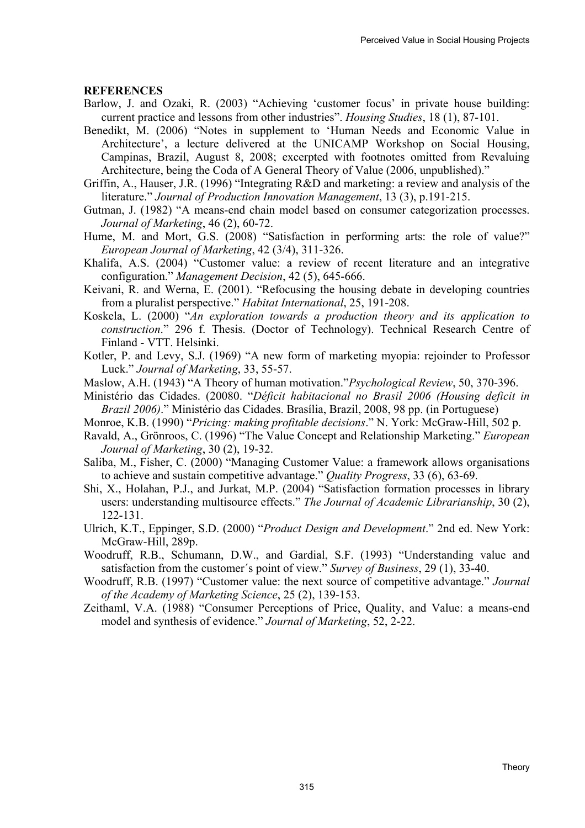#### **REFERENCES**

- Barlow, J. and Ozaki, R. (2003) "Achieving 'customer focus' in private house building: current practice and lessons from other industries". *Housing Studies*, 18 (1), 87-101.
- Benedikt, M. (2006) "Notes in supplement to 'Human Needs and Economic Value in Architecture', a lecture delivered at the UNICAMP Workshop on Social Housing, Campinas, Brazil, August 8, 2008; excerpted with footnotes omitted from Revaluing Architecture, being the Coda of A General Theory of Value (2006, unpublished)."
- Griffin, A., Hauser, J.R. (1996) "Integrating R&D and marketing: a review and analysis of the literature." *Journal of Production Innovation Management*, 13 (3), p.191-215.
- Gutman, J. (1982) "A means-end chain model based on consumer categorization processes. *Journal of Marketing*, 46 (2), 60-72.
- Hume, M. and Mort, G.S. (2008) "Satisfaction in performing arts: the role of value?" *European Journal of Marketing*, 42 (3/4), 311-326.
- Khalifa, A.S. (2004) "Customer value: a review of recent literature and an integrative configuration." *Management Decision*, 42 (5), 645-666.
- Keivani, R. and Werna, E. (2001). "Refocusing the housing debate in developing countries from a pluralist perspective." *Habitat International*, 25, 191-208.
- Koskela, L. (2000) "*An exploration towards a production theory and its application to construction*." 296 f. Thesis. (Doctor of Technology). Technical Research Centre of Finland - VTT. Helsinki.
- Kotler, P. and Levy, S.J. (1969) "A new form of marketing myopia: rejoinder to Professor Luck." *Journal of Marketing*, 33, 55-57.
- Maslow, A.H. (1943) "A Theory of human motivation."*Psychological Review*, 50, 370-396.
- Ministério das Cidades. (20080. "*Déficit habitacional no Brasil 2006 (Housing deficit in Brazil 2006)*." Ministério das Cidades. Brasília, Brazil, 2008, 98 pp. (in Portuguese)
- Monroe, K.B. (1990) "*Pricing: making profitable decisions*." N. York: McGraw-Hill, 502 p.
- Ravald, A., Grönroos, C. (1996) "The Value Concept and Relationship Marketing." *European Journal of Marketing*, 30 (2), 19-32.
- Saliba, M., Fisher, C. (2000) "Managing Customer Value: a framework allows organisations to achieve and sustain competitive advantage." *Quality Progress*, 33 (6), 63-69.
- Shi, X., Holahan, P.J., and Jurkat, M.P. (2004) "Satisfaction formation processes in library users: understanding multisource effects." *The Journal of Academic Librarianship*, 30 (2), 122-131.
- Ulrich, K.T., Eppinger, S.D. (2000) "*Product Design and Development*." 2nd ed. New York: McGraw-Hill, 289p.
- Woodruff, R.B., Schumann, D.W., and Gardial, S.F. (1993) "Understanding value and satisfaction from the customer´s point of view." *Survey of Business*, 29 (1), 33-40.
- Woodruff, R.B. (1997) "Customer value: the next source of competitive advantage." *Journal of the Academy of Marketing Science*, 25 (2), 139-153.
- Zeithaml, V.A. (1988) "Consumer Perceptions of Price, Quality, and Value: a means-end model and synthesis of evidence." *Journal of Marketing*, 52, 2-22.